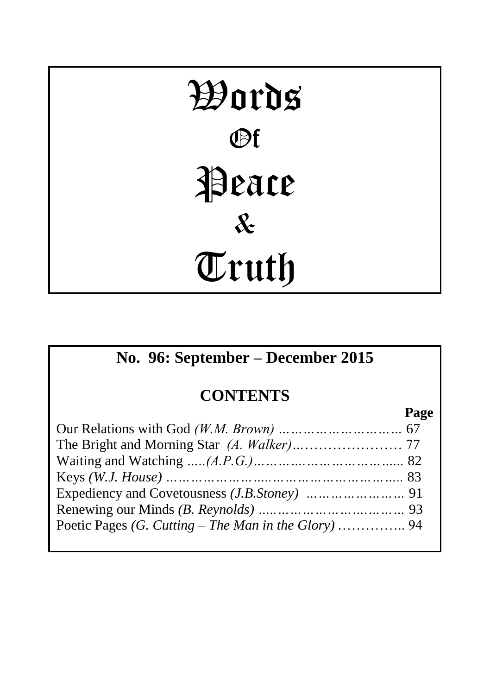# Words Of Peace & Truth

# **No. 96: September – December 2015**

# **CONTENTS**

**Page**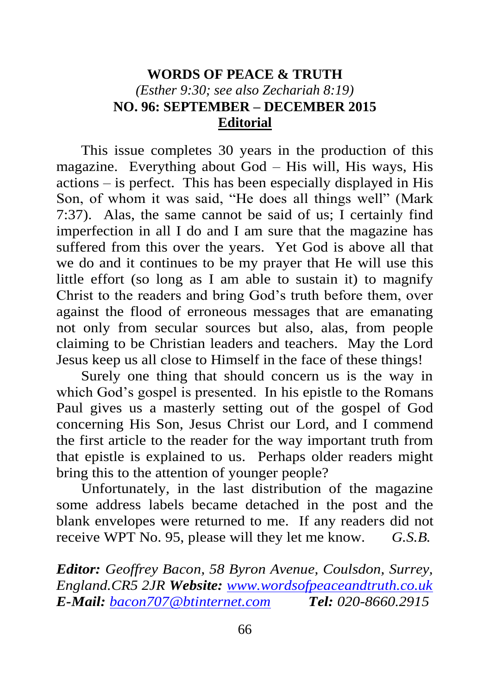## **WORDS OF PEACE & TRUTH** *(Esther 9:30; see also Zechariah 8:19)* **NO. 96: SEPTEMBER – DECEMBER 2015 Editorial**

This issue completes 30 years in the production of this magazine. Everything about God – His will, His ways, His actions – is perfect. This has been especially displayed in His Son, of whom it was said, "He does all things well" (Mark 7:37). Alas, the same cannot be said of us; I certainly find imperfection in all I do and I am sure that the magazine has suffered from this over the years. Yet God is above all that we do and it continues to be my prayer that He will use this little effort (so long as I am able to sustain it) to magnify Christ to the readers and bring God's truth before them, over against the flood of erroneous messages that are emanating not only from secular sources but also, alas, from people claiming to be Christian leaders and teachers. May the Lord Jesus keep us all close to Himself in the face of these things!

Surely one thing that should concern us is the way in which God's gospel is presented. In his epistle to the Romans Paul gives us a masterly setting out of the gospel of God concerning His Son, Jesus Christ our Lord, and I commend the first article to the reader for the way important truth from that epistle is explained to us. Perhaps older readers might bring this to the attention of younger people?

Unfortunately, in the last distribution of the magazine some address labels became detached in the post and the blank envelopes were returned to me. If any readers did not receive WPT No. 95, please will they let me know. *G.S.B.*

*Editor: Geoffrey Bacon, 58 Byron Avenue, Coulsdon, Surrey, England.CR5 2JR Website: [www.wordsofpeaceandtruth.co.uk](http://www.wordsofpeaceandtruth.co.uk/) E-Mail: [bacon707@btinternet.com](mailto:bacon707@btinternet.com) Tel: 020-8660.2915*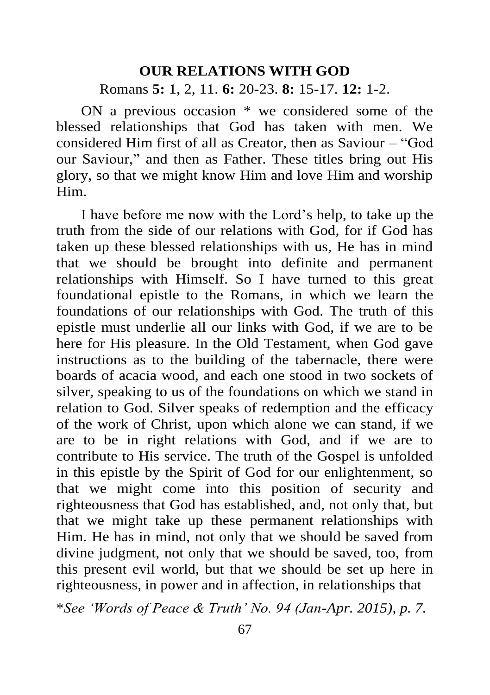#### **OUR RELATIONS WITH GOD**

Romans **5:** 1, 2, 11. **6:** 20-23. **8:** 15-17. **12:** 1-2.

ON a previous occasion \* we considered some of the blessed relationships that God has taken with men. We considered Him first of all as Creator, then as Saviour – "God our Saviour," and then as Father. These titles bring out His glory, so that we might know Him and love Him and worship Him.

I have before me now with the Lord's help, to take up the truth from the side of our relations with God, for if God has taken up these blessed relationships with us, He has in mind that we should be brought into definite and permanent relationships with Himself. So I have turned to this great foundational epistle to the Romans, in which we learn the foundations of our relationships with God. The truth of this epistle must underlie all our links with God, if we are to be here for His pleasure. In the Old Testament, when God gave instructions as to the building of the tabernacle, there were boards of acacia wood, and each one stood in two sockets of silver, speaking to us of the foundations on which we stand in relation to God. Silver speaks of redemption and the efficacy of the work of Christ, upon which alone we can stand, if we are to be in right relations with God, and if we are to contribute to His service. The truth of the Gospel is unfolded in this epistle by the Spirit of God for our enlightenment, so that we might come into this position of security and righteousness that God has established, and, not only that, but that we might take up these permanent relationships with Him. He has in mind, not only that we should be saved from divine judgment, not only that we should be saved, too, from this present evil world, but that we should be set up here in righteousness, in power and in affection, in relationships that

\**See 'Words of Peace & Truth' No. 94 (Jan-Apr. 2015), p. 7.*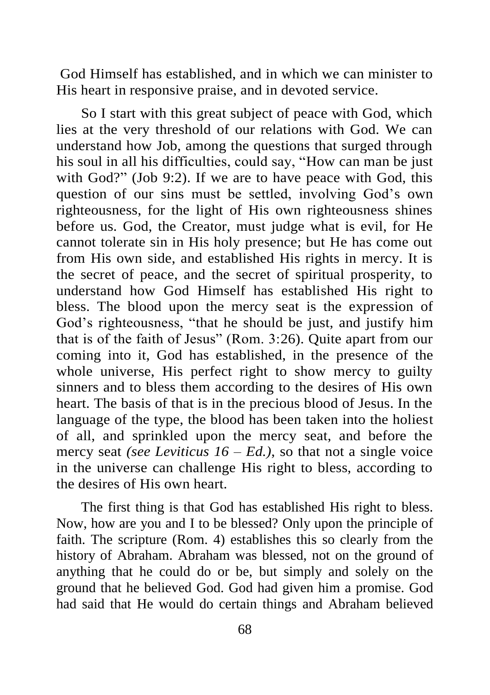God Himself has established, and in which we can minister to His heart in responsive praise, and in devoted service.

So I start with this great subject of peace with God, which lies at the very threshold of our relations with God. We can understand how Job, among the questions that surged through his soul in all his difficulties, could say, "How can man be just with God?" (Job 9:2). If we are to have peace with God, this question of our sins must be settled, involving God's own righteousness, for the light of His own righteousness shines before us. God, the Creator, must judge what is evil, for He cannot tolerate sin in His holy presence; but He has come out from His own side, and established His rights in mercy. It is the secret of peace, and the secret of spiritual prosperity, to understand how God Himself has established His right to bless. The blood upon the mercy seat is the expression of God's righteousness, "that he should be just, and justify him that is of the faith of Jesus" (Rom. 3:26). Quite apart from our coming into it, God has established, in the presence of the whole universe, His perfect right to show mercy to guilty sinners and to bless them according to the desires of His own heart. The basis of that is in the precious blood of Jesus. In the language of the type, the blood has been taken into the holiest of all, and sprinkled upon the mercy seat, and before the mercy seat *(see Leviticus 16 – Ed.)*, so that not a single voice in the universe can challenge His right to bless, according to the desires of His own heart.

The first thing is that God has established His right to bless. Now, how are you and I to be blessed? Only upon the principle of faith. The scripture (Rom. 4) establishes this so clearly from the history of Abraham. Abraham was blessed, not on the ground of anything that he could do or be, but simply and solely on the ground that he believed God. God had given him a promise. God had said that He would do certain things and Abraham believed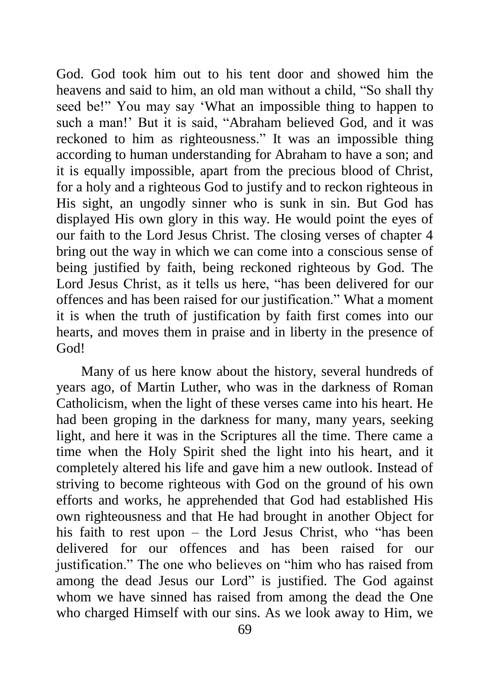God. God took him out to his tent door and showed him the heavens and said to him, an old man without a child, "So shall thy seed be!" You may say 'What an impossible thing to happen to such a man!' But it is said, "Abraham believed God, and it was reckoned to him as righteousness." It was an impossible thing according to human understanding for Abraham to have a son; and it is equally impossible, apart from the precious blood of Christ, for a holy and a righteous God to justify and to reckon righteous in His sight, an ungodly sinner who is sunk in sin. But God has displayed His own glory in this way. He would point the eyes of our faith to the Lord Jesus Christ. The closing verses of chapter 4 bring out the way in which we can come into a conscious sense of being justified by faith, being reckoned righteous by God. The Lord Jesus Christ, as it tells us here, "has been delivered for our offences and has been raised for our justification." What a moment it is when the truth of justification by faith first comes into our hearts, and moves them in praise and in liberty in the presence of God!

Many of us here know about the history, several hundreds of years ago, of Martin Luther, who was in the darkness of Roman Catholicism, when the light of these verses came into his heart. He had been groping in the darkness for many, many years, seeking light, and here it was in the Scriptures all the time. There came a time when the Holy Spirit shed the light into his heart, and it completely altered his life and gave him a new outlook. Instead of striving to become righteous with God on the ground of his own efforts and works, he apprehended that God had established His own righteousness and that He had brought in another Object for his faith to rest upon – the Lord Jesus Christ, who "has been delivered for our offences and has been raised for our justification." The one who believes on "him who has raised from among the dead Jesus our Lord" is justified. The God against whom we have sinned has raised from among the dead the One who charged Himself with our sins. As we look away to Him, we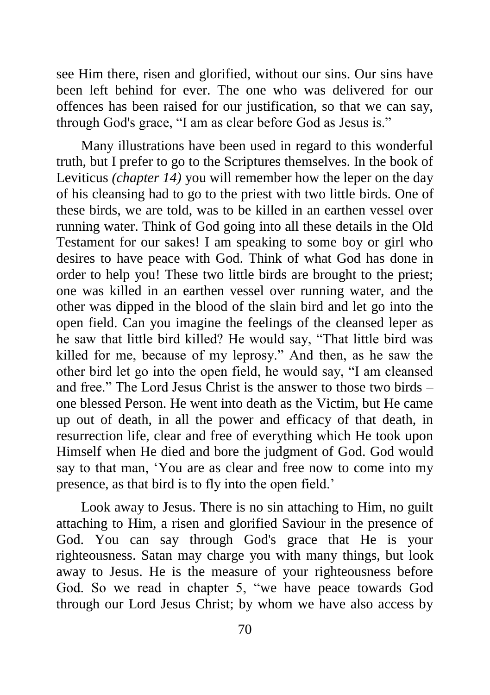see Him there, risen and glorified, without our sins. Our sins have been left behind for ever. The one who was delivered for our offences has been raised for our justification, so that we can say, through God's grace, "I am as clear before God as Jesus is."

Many illustrations have been used in regard to this wonderful truth, but I prefer to go to the Scriptures themselves. In the book of Leviticus *(chapter 14)* you will remember how the leper on the day of his cleansing had to go to the priest with two little birds. One of these birds, we are told, was to be killed in an earthen vessel over running water. Think of God going into all these details in the Old Testament for our sakes! I am speaking to some boy or girl who desires to have peace with God. Think of what God has done in order to help you! These two little birds are brought to the priest; one was killed in an earthen vessel over running water, and the other was dipped in the blood of the slain bird and let go into the open field. Can you imagine the feelings of the cleansed leper as he saw that little bird killed? He would say, "That little bird was killed for me, because of my leprosy." And then, as he saw the other bird let go into the open field, he would say, "I am cleansed and free." The Lord Jesus Christ is the answer to those two birds – one blessed Person. He went into death as the Victim, but He came up out of death, in all the power and efficacy of that death, in resurrection life, clear and free of everything which He took upon Himself when He died and bore the judgment of God. God would say to that man, 'You are as clear and free now to come into my presence, as that bird is to fly into the open field.'

Look away to Jesus. There is no sin attaching to Him, no guilt attaching to Him, a risen and glorified Saviour in the presence of God. You can say through God's grace that He is your righteousness. Satan may charge you with many things, but look away to Jesus. He is the measure of your righteousness before God. So we read in chapter 5, "we have peace towards God through our Lord Jesus Christ; by whom we have also access by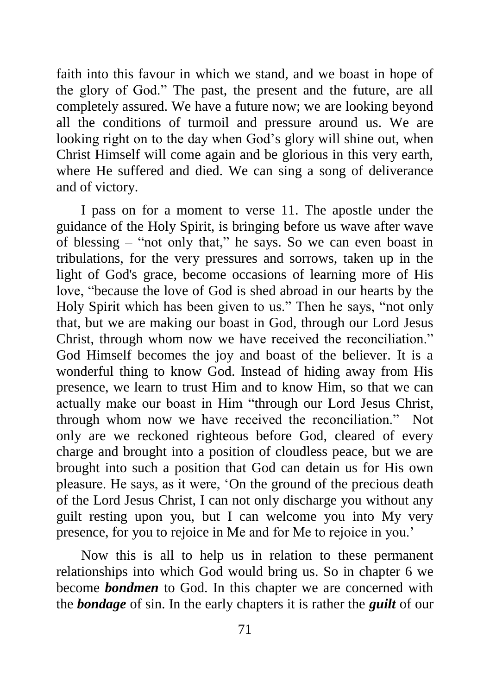faith into this favour in which we stand, and we boast in hope of the glory of God." The past, the present and the future, are all completely assured. We have a future now; we are looking beyond all the conditions of turmoil and pressure around us. We are looking right on to the day when God's glory will shine out, when Christ Himself will come again and be glorious in this very earth, where He suffered and died. We can sing a song of deliverance and of victory.

I pass on for a moment to verse 11. The apostle under the guidance of the Holy Spirit, is bringing before us wave after wave of blessing – "not only that," he says. So we can even boast in tribulations, for the very pressures and sorrows, taken up in the light of God's grace, become occasions of learning more of His love, "because the love of God is shed abroad in our hearts by the Holy Spirit which has been given to us." Then he says, "not only that, but we are making our boast in God, through our Lord Jesus Christ, through whom now we have received the reconciliation." God Himself becomes the joy and boast of the believer. It is a wonderful thing to know God. Instead of hiding away from His presence, we learn to trust Him and to know Him, so that we can actually make our boast in Him "through our Lord Jesus Christ, through whom now we have received the reconciliation." Not only are we reckoned righteous before God, cleared of every charge and brought into a position of cloudless peace, but we are brought into such a position that God can detain us for His own pleasure. He says, as it were, 'On the ground of the precious death of the Lord Jesus Christ, I can not only discharge you without any guilt resting upon you, but I can welcome you into My very presence, for you to rejoice in Me and for Me to rejoice in you.'

Now this is all to help us in relation to these permanent relationships into which God would bring us. So in chapter 6 we become *bondmen* to God. In this chapter we are concerned with the *bondage* of sin. In the early chapters it is rather the *guilt* of our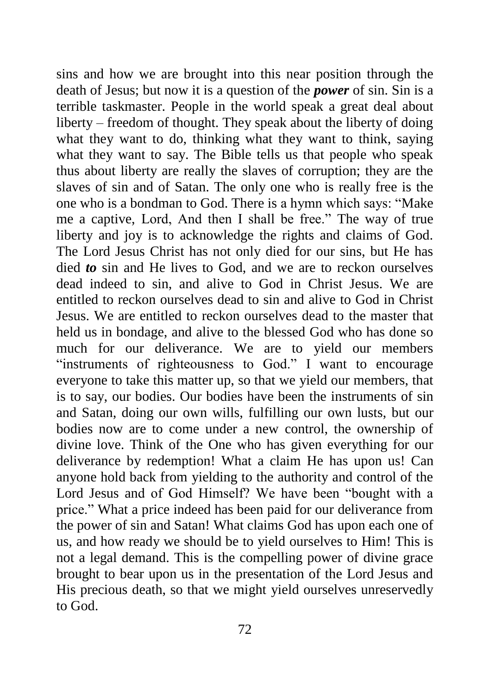sins and how we are brought into this near position through the death of Jesus; but now it is a question of the *power* of sin. Sin is a terrible taskmaster. People in the world speak a great deal about liberty – freedom of thought. They speak about the liberty of doing what they want to do, thinking what they want to think, saying what they want to say. The Bible tells us that people who speak thus about liberty are really the slaves of corruption; they are the slaves of sin and of Satan. The only one who is really free is the one who is a bondman to God. There is a hymn which says: "Make me a captive, Lord, And then I shall be free." The way of true liberty and joy is to acknowledge the rights and claims of God. The Lord Jesus Christ has not only died for our sins, but He has died *to* sin and He lives to God, and we are to reckon ourselves dead indeed to sin, and alive to God in Christ Jesus. We are entitled to reckon ourselves dead to sin and alive to God in Christ Jesus. We are entitled to reckon ourselves dead to the master that held us in bondage, and alive to the blessed God who has done so much for our deliverance. We are to yield our members "instruments of righteousness to God." I want to encourage everyone to take this matter up, so that we yield our members, that is to say, our bodies. Our bodies have been the instruments of sin and Satan, doing our own wills, fulfilling our own lusts, but our bodies now are to come under a new control, the ownership of divine love. Think of the One who has given everything for our deliverance by redemption! What a claim He has upon us! Can anyone hold back from yielding to the authority and control of the Lord Jesus and of God Himself? We have been "bought with a price." What a price indeed has been paid for our deliverance from the power of sin and Satan! What claims God has upon each one of us, and how ready we should be to yield ourselves to Him! This is not a legal demand. This is the compelling power of divine grace brought to bear upon us in the presentation of the Lord Jesus and His precious death, so that we might yield ourselves unreservedly to God.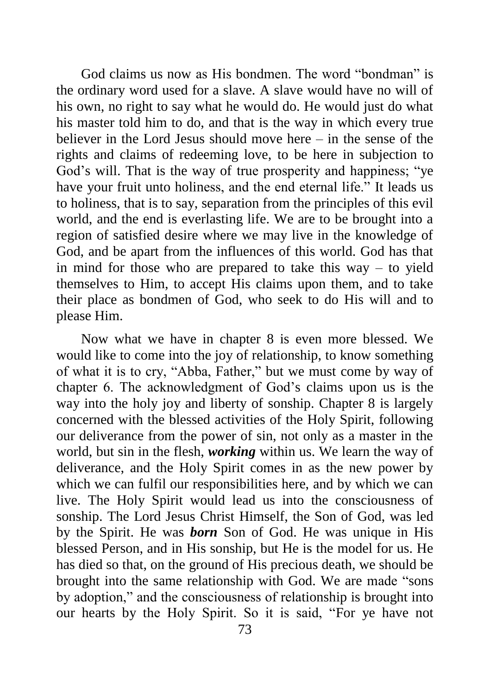God claims us now as His bondmen. The word "bondman" is the ordinary word used for a slave. A slave would have no will of his own, no right to say what he would do. He would just do what his master told him to do, and that is the way in which every true believer in the Lord Jesus should move here – in the sense of the rights and claims of redeeming love, to be here in subjection to God's will. That is the way of true prosperity and happiness; "ye have your fruit unto holiness, and the end eternal life." It leads us to holiness, that is to say, separation from the principles of this evil world, and the end is everlasting life. We are to be brought into a region of satisfied desire where we may live in the knowledge of God, and be apart from the influences of this world. God has that in mind for those who are prepared to take this way – to yield themselves to Him, to accept His claims upon them, and to take their place as bondmen of God, who seek to do His will and to please Him.

Now what we have in chapter 8 is even more blessed. We would like to come into the joy of relationship, to know something of what it is to cry, "Abba, Father," but we must come by way of chapter 6. The acknowledgment of God's claims upon us is the way into the holy joy and liberty of sonship. Chapter 8 is largely concerned with the blessed activities of the Holy Spirit, following our deliverance from the power of sin, not only as a master in the world, but sin in the flesh, *working* within us. We learn the way of deliverance, and the Holy Spirit comes in as the new power by which we can fulfil our responsibilities here, and by which we can live. The Holy Spirit would lead us into the consciousness of sonship. The Lord Jesus Christ Himself, the Son of God, was led by the Spirit. He was *born* Son of God. He was unique in His blessed Person, and in His sonship, but He is the model for us. He has died so that, on the ground of His precious death, we should be brought into the same relationship with God. We are made "sons by adoption," and the consciousness of relationship is brought into our hearts by the Holy Spirit. So it is said, "For ye have not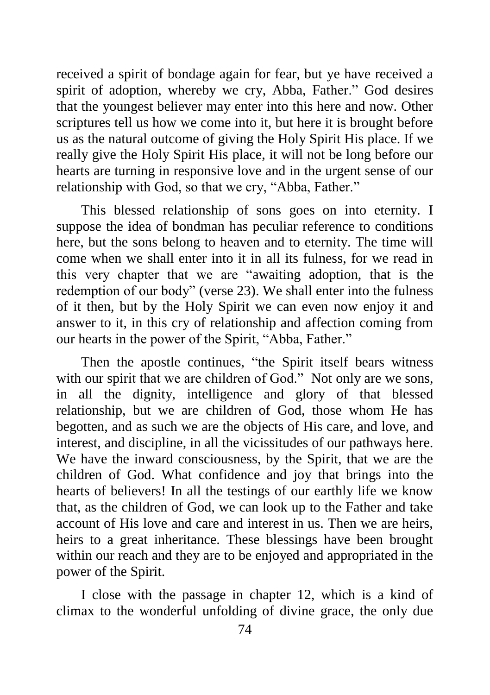received a spirit of bondage again for fear, but ye have received a spirit of adoption, whereby we cry, Abba, Father." God desires that the youngest believer may enter into this here and now. Other scriptures tell us how we come into it, but here it is brought before us as the natural outcome of giving the Holy Spirit His place. If we really give the Holy Spirit His place, it will not be long before our hearts are turning in responsive love and in the urgent sense of our relationship with God, so that we cry, "Abba, Father."

This blessed relationship of sons goes on into eternity. I suppose the idea of bondman has peculiar reference to conditions here, but the sons belong to heaven and to eternity. The time will come when we shall enter into it in all its fulness, for we read in this very chapter that we are "awaiting adoption, that is the redemption of our body" (verse 23). We shall enter into the fulness of it then, but by the Holy Spirit we can even now enjoy it and answer to it, in this cry of relationship and affection coming from our hearts in the power of the Spirit, "Abba, Father."

Then the apostle continues, "the Spirit itself bears witness with our spirit that we are children of God." Not only are we sons, in all the dignity, intelligence and glory of that blessed relationship, but we are children of God, those whom He has begotten, and as such we are the objects of His care, and love, and interest, and discipline, in all the vicissitudes of our pathways here. We have the inward consciousness, by the Spirit, that we are the children of God. What confidence and joy that brings into the hearts of believers! In all the testings of our earthly life we know that, as the children of God, we can look up to the Father and take account of His love and care and interest in us. Then we are heirs, heirs to a great inheritance. These blessings have been brought within our reach and they are to be enjoyed and appropriated in the power of the Spirit.

I close with the passage in chapter 12, which is a kind of climax to the wonderful unfolding of divine grace, the only due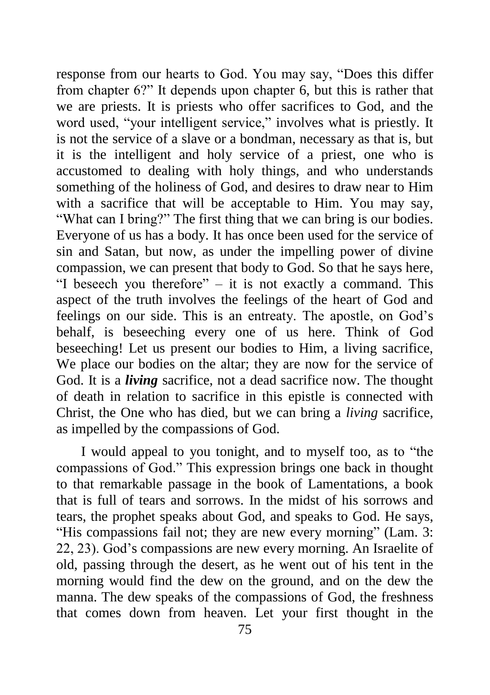response from our hearts to God. You may say, "Does this differ from chapter 6?" It depends upon chapter 6, but this is rather that we are priests. It is priests who offer sacrifices to God, and the word used, "your intelligent service," involves what is priestly. It is not the service of a slave or a bondman, necessary as that is, but it is the intelligent and holy service of a priest, one who is accustomed to dealing with holy things, and who understands something of the holiness of God, and desires to draw near to Him with a sacrifice that will be acceptable to Him. You may say, "What can I bring?" The first thing that we can bring is our bodies. Everyone of us has a body. It has once been used for the service of sin and Satan, but now, as under the impelling power of divine compassion, we can present that body to God. So that he says here, "I beseech you therefore" – it is not exactly a command. This aspect of the truth involves the feelings of the heart of God and feelings on our side. This is an entreaty. The apostle, on God's behalf, is beseeching every one of us here. Think of God beseeching! Let us present our bodies to Him, a living sacrifice, We place our bodies on the altar; they are now for the service of God. It is a *living* sacrifice, not a dead sacrifice now. The thought of death in relation to sacrifice in this epistle is connected with Christ, the One who has died, but we can bring a *living* sacrifice, as impelled by the compassions of God.

I would appeal to you tonight, and to myself too, as to "the compassions of God." This expression brings one back in thought to that remarkable passage in the book of Lamentations, a book that is full of tears and sorrows. In the midst of his sorrows and tears, the prophet speaks about God, and speaks to God. He says, "His compassions fail not; they are new every morning" (Lam. 3: 22, 23). God's compassions are new every morning. An Israelite of old, passing through the desert, as he went out of his tent in the morning would find the dew on the ground, and on the dew the manna. The dew speaks of the compassions of God, the freshness that comes down from heaven. Let your first thought in the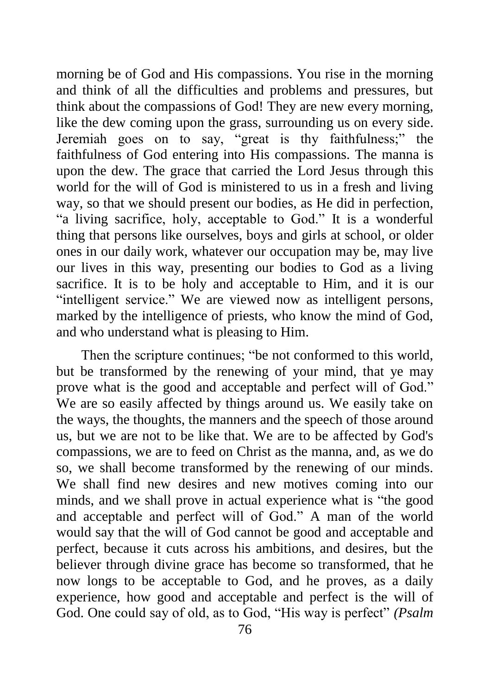morning be of God and His compassions. You rise in the morning and think of all the difficulties and problems and pressures, but think about the compassions of God! They are new every morning, like the dew coming upon the grass, surrounding us on every side. Jeremiah goes on to say, "great is thy faithfulness;" the faithfulness of God entering into His compassions. The manna is upon the dew. The grace that carried the Lord Jesus through this world for the will of God is ministered to us in a fresh and living way, so that we should present our bodies, as He did in perfection, "a living sacrifice, holy, acceptable to God." It is a wonderful thing that persons like ourselves, boys and girls at school, or older ones in our daily work, whatever our occupation may be, may live our lives in this way, presenting our bodies to God as a living sacrifice. It is to be holy and acceptable to Him, and it is our "intelligent service." We are viewed now as intelligent persons, marked by the intelligence of priests, who know the mind of God, and who understand what is pleasing to Him.

Then the scripture continues; "be not conformed to this world, but be transformed by the renewing of your mind, that ye may prove what is the good and acceptable and perfect will of God." We are so easily affected by things around us. We easily take on the ways, the thoughts, the manners and the speech of those around us, but we are not to be like that. We are to be affected by God's compassions, we are to feed on Christ as the manna, and, as we do so, we shall become transformed by the renewing of our minds. We shall find new desires and new motives coming into our minds, and we shall prove in actual experience what is "the good and acceptable and perfect will of God." A man of the world would say that the will of God cannot be good and acceptable and perfect, because it cuts across his ambitions, and desires, but the believer through divine grace has become so transformed, that he now longs to be acceptable to God, and he proves, as a daily experience, how good and acceptable and perfect is the will of God. One could say of old, as to God, "His way is perfect" *(Psalm*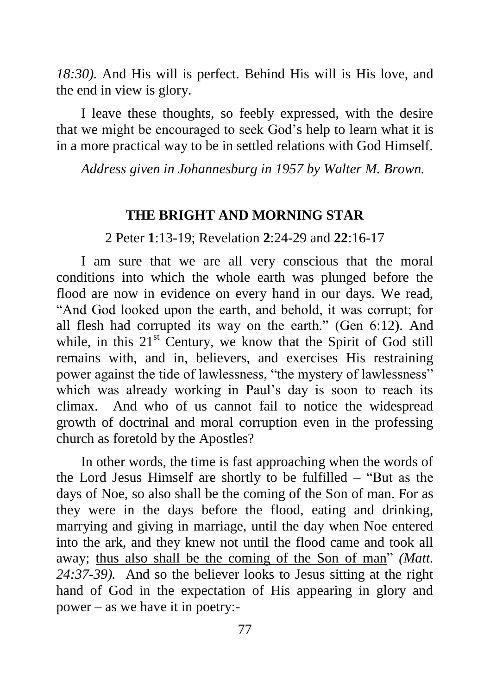*18:30).* And His will is perfect. Behind His will is His love, and the end in view is glory.

I leave these thoughts, so feebly expressed, with the desire that we might be encouraged to seek God's help to learn what it is in a more practical way to be in settled relations with God Himself.

*Address given in Johannesburg in 1957 by Walter M. Brown.*

#### **THE BRIGHT AND MORNING STAR**

2 Peter **1**:13-19; Revelation **2**:24-29 and **22**:16-17

I am sure that we are all very conscious that the moral conditions into which the whole earth was plunged before the flood are now in evidence on every hand in our days. We read, "And God looked upon the earth, and behold, it was corrupt; for all flesh had corrupted its way on the earth." (Gen 6:12). And while, in this 21<sup>st</sup> Century, we know that the Spirit of God still remains with, and in, believers, and exercises His restraining power against the tide of lawlessness, "the mystery of lawlessness" which was already working in Paul's day is soon to reach its climax. And who of us cannot fail to notice the widespread growth of doctrinal and moral corruption even in the professing church as foretold by the Apostles?

In other words, the time is fast approaching when the words of the Lord Jesus Himself are shortly to be fulfilled – "But as the days of Noe, so also shall be the coming of the Son of man. For as they were in the days before the flood, eating and drinking, marrying and giving in marriage, until the day when Noe entered into the ark, and they knew not until the flood came and took all away; thus also shall be the coming of the Son of man" *(Matt. 24:37-39).* And so the believer looks to Jesus sitting at the right hand of God in the expectation of His appearing in glory and power – as we have it in poetry:-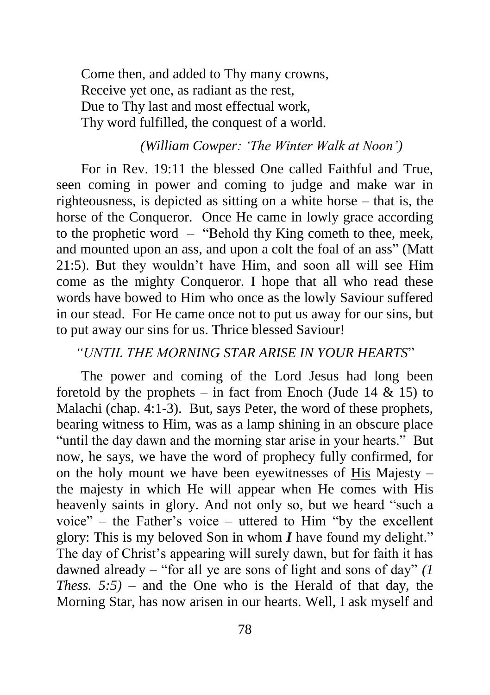Come then, and added to Thy many crowns, Receive yet one, as radiant as the rest, Due to Thy last and most effectual work, Thy word fulfilled, the conquest of a world.

#### *(William Cowper: 'The Winter Walk at Noon')*

For in Rev. 19:11 the blessed One called Faithful and True, seen coming in power and coming to judge and make war in righteousness, is depicted as sitting on a white horse – that is, the horse of the Conqueror. Once He came in lowly grace according to the prophetic word – "Behold thy King cometh to thee, meek, and mounted upon an ass, and upon a colt the foal of an ass" (Matt 21:5). But they wouldn't have Him, and soon all will see Him come as the mighty Conqueror. I hope that all who read these words have bowed to Him who once as the lowly Saviour suffered in our stead. For He came once not to put us away for our sins, but to put away our sins for us. Thrice blessed Saviour!

#### *"UNTIL THE MORNING STAR ARISE IN YOUR HEARTS*"

The power and coming of the Lord Jesus had long been foretold by the prophets – in fact from Enoch (Jude 14  $\&$  15) to Malachi (chap. 4:1-3). But, says Peter, the word of these prophets, bearing witness to Him, was as a lamp shining in an obscure place "until the day dawn and the morning star arise in your hearts." But now, he says, we have the word of prophecy fully confirmed, for on the holy mount we have been eyewitnesses of His Majesty – the majesty in which He will appear when He comes with His heavenly saints in glory. And not only so, but we heard "such a voice" – the Father's voice – uttered to Him "by the excellent glory: This is my beloved Son in whom *I* have found my delight." The day of Christ's appearing will surely dawn, but for faith it has dawned already – "for all ye are sons of light and sons of day" *(1 Thess. 5:5)* – and the One who is the Herald of that day, the Morning Star, has now arisen in our hearts. Well, I ask myself and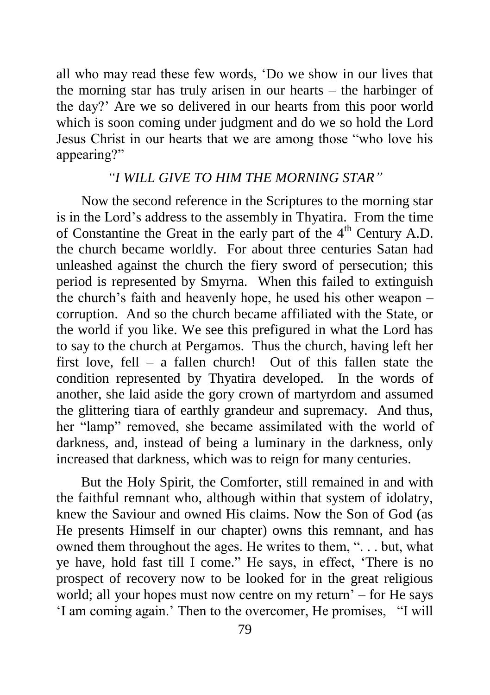all who may read these few words, 'Do we show in our lives that the morning star has truly arisen in our hearts – the harbinger of the day?' Are we so delivered in our hearts from this poor world which is soon coming under judgment and do we so hold the Lord Jesus Christ in our hearts that we are among those "who love his appearing?"

#### *"I WILL GIVE TO HIM THE MORNING STAR"*

Now the second reference in the Scriptures to the morning star is in the Lord's address to the assembly in Thyatira. From the time of Constantine the Great in the early part of the  $4<sup>th</sup>$  Century A.D. the church became worldly. For about three centuries Satan had unleashed against the church the fiery sword of persecution; this period is represented by Smyrna. When this failed to extinguish the church's faith and heavenly hope, he used his other weapon – corruption. And so the church became affiliated with the State, or the world if you like. We see this prefigured in what the Lord has to say to the church at Pergamos. Thus the church, having left her first love, fell – a fallen church! Out of this fallen state the condition represented by Thyatira developed. In the words of another, she laid aside the gory crown of martyrdom and assumed the glittering tiara of earthly grandeur and supremacy. And thus, her "lamp" removed, she became assimilated with the world of darkness, and, instead of being a luminary in the darkness, only increased that darkness, which was to reign for many centuries.

But the Holy Spirit, the Comforter, still remained in and with the faithful remnant who, although within that system of idolatry, knew the Saviour and owned His claims. Now the Son of God (as He presents Himself in our chapter) owns this remnant, and has owned them throughout the ages. He writes to them, ". . . but, what ye have, hold fast till I come." He says, in effect, 'There is no prospect of recovery now to be looked for in the great religious world; all your hopes must now centre on my return' – for He says 'I am coming again.' Then to the overcomer, He promises, "I will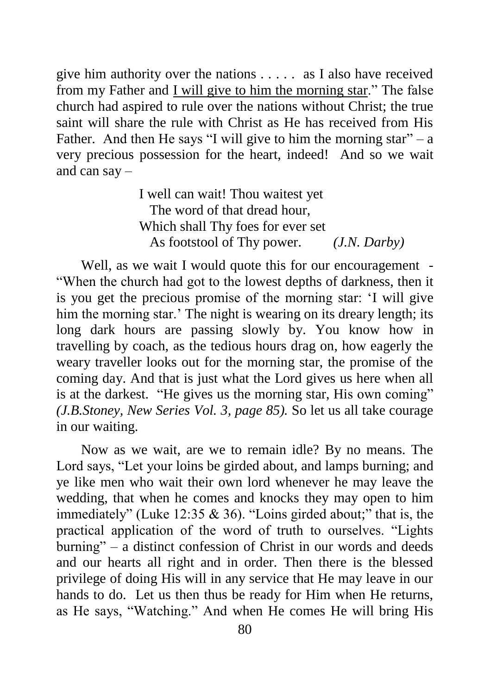give him authority over the nations . . . . . as I also have received from my Father and I will give to him the morning star." The false church had aspired to rule over the nations without Christ; the true saint will share the rule with Christ as He has received from His Father. And then He says "I will give to him the morning star" – a very precious possession for the heart, indeed! And so we wait and can say –

> I well can wait! Thou waitest yet The word of that dread hour, Which shall Thy foes for ever set As footstool of Thy power. *(J.N. Darby)*

Well, as we wait I would quote this for our encouragement -"When the church had got to the lowest depths of darkness, then it is you get the precious promise of the morning star: 'I will give him the morning star.' The night is wearing on its dreary length; its long dark hours are passing slowly by. You know how in travelling by coach, as the tedious hours drag on, how eagerly the weary traveller looks out for the morning star, the promise of the coming day. And that is just what the Lord gives us here when all is at the darkest. "He gives us the morning star, His own coming" *(J.B.Stoney, New Series Vol. 3, page 85).* So let us all take courage in our waiting.

Now as we wait, are we to remain idle? By no means. The Lord says, "Let your loins be girded about, and lamps burning; and ye like men who wait their own lord whenever he may leave the wedding, that when he comes and knocks they may open to him immediately" (Luke 12:35 & 36). "Loins girded about;" that is, the practical application of the word of truth to ourselves. "Lights burning" – a distinct confession of Christ in our words and deeds and our hearts all right and in order. Then there is the blessed privilege of doing His will in any service that He may leave in our hands to do. Let us then thus be ready for Him when He returns, as He says, "Watching." And when He comes He will bring His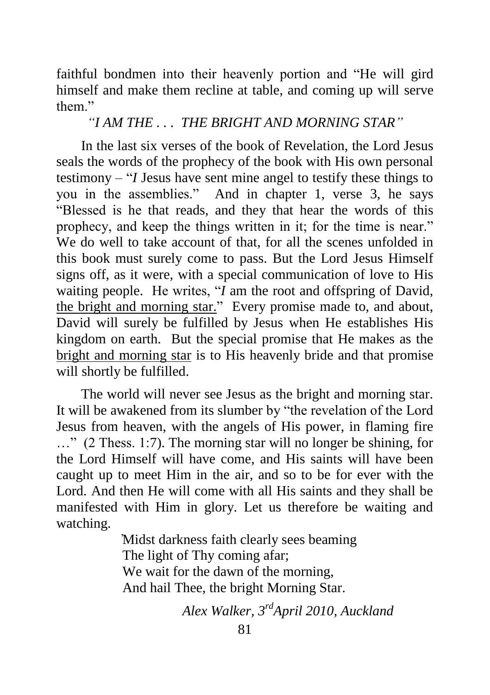faithful bondmen into their heavenly portion and "He will gird himself and make them recline at table, and coming up will serve them"

*"I AM THE . . . THE BRIGHT AND MORNING STAR"*

In the last six verses of the book of Revelation, the Lord Jesus seals the words of the prophecy of the book with His own personal testimony – "*I* Jesus have sent mine angel to testify these things to you in the assemblies." And in chapter 1, verse 3, he says "Blessed is he that reads, and they that hear the words of this prophecy, and keep the things written in it; for the time is near." We do well to take account of that, for all the scenes unfolded in this book must surely come to pass. But the Lord Jesus Himself signs off, as it were, with a special communication of love to His waiting people. He writes, "*I* am the root and offspring of David, the bright and morning star." Every promise made to, and about, David will surely be fulfilled by Jesus when He establishes His kingdom on earth. But the special promise that He makes as the bright and morning star is to His heavenly bride and that promise will shortly be fulfilled.

The world will never see Jesus as the bright and morning star. It will be awakened from its slumber by "the revelation of the Lord Jesus from heaven, with the angels of His power, in flaming fire …" (2 Thess. 1:7). The morning star will no longer be shining, for the Lord Himself will have come, and His saints will have been caught up to meet Him in the air, and so to be for ever with the Lord. And then He will come with all His saints and they shall be manifested with Him in glory. Let us therefore be waiting and watching.

> ̓Midst darkness faith clearly sees beaming The light of Thy coming afar; We wait for the dawn of the morning. And hail Thee, the bright Morning Star.

> > *Alex Walker, 3 rdApril 2010, Auckland*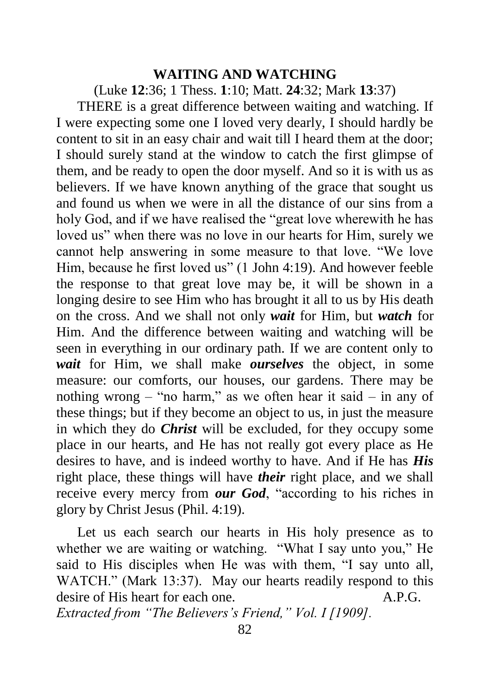#### **WAITING AND WATCHING**

(Luke **12**:36; 1 Thess. **1**:10; Matt. **24**:32; Mark **13**:37)

THERE is a great difference between waiting and watching. If I were expecting some one I loved very dearly, I should hardly be content to sit in an easy chair and wait till I heard them at the door; I should surely stand at the window to catch the first glimpse of them, and be ready to open the door myself. And so it is with us as believers. If we have known anything of the grace that sought us and found us when we were in all the distance of our sins from a holy God, and if we have realised the "great love wherewith he has loved us" when there was no love in our hearts for Him, surely we cannot help answering in some measure to that love. "We love Him, because he first loved us" (1 John 4:19). And however feeble the response to that great love may be, it will be shown in a longing desire to see Him who has brought it all to us by His death on the cross. And we shall not only *wait* for Him, but *watch* for Him. And the difference between waiting and watching will be seen in everything in our ordinary path. If we are content only to *wait* for Him, we shall make *ourselves* the object, in some measure: our comforts, our houses, our gardens. There may be nothing wrong – "no harm," as we often hear it said – in any of these things; but if they become an object to us, in just the measure in which they do *Christ* will be excluded, for they occupy some place in our hearts, and He has not really got every place as He desires to have, and is indeed worthy to have. And if He has *His* right place, these things will have *their* right place, and we shall receive every mercy from *our God*, "according to his riches in glory by Christ Jesus (Phil. 4:19).

Let us each search our hearts in His holy presence as to whether we are waiting or watching. "What I say unto you," He said to His disciples when He was with them, "I say unto all, WATCH." (Mark 13:37). May our hearts readily respond to this desire of His heart for each one. A.P.G. *Extracted from "The Believers's Friend," Vol. I [1909].*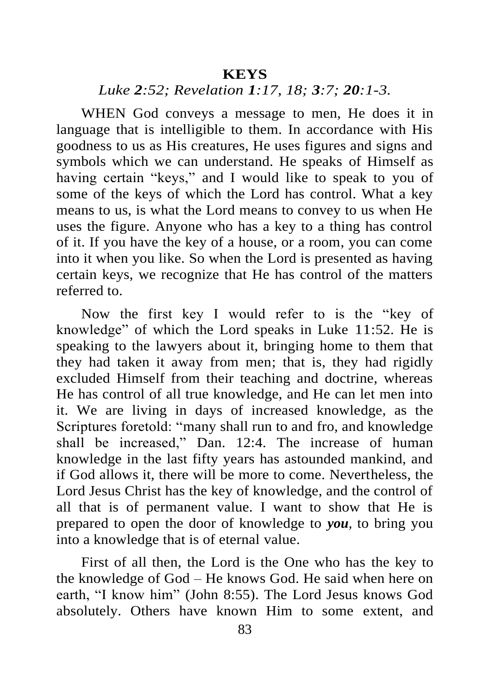#### **KEYS**

## *Luke 2:52; Revelation 1:17, 18; 3:7; 20:1-3.*

WHEN God conveys a message to men, He does it in language that is intelligible to them. In accordance with His goodness to us as His creatures, He uses figures and signs and symbols which we can understand. He speaks of Himself as having certain "keys," and I would like to speak to you of some of the keys of which the Lord has control. What a key means to us, is what the Lord means to convey to us when He uses the figure. Anyone who has a key to a thing has control of it. If you have the key of a house, or a room, you can come into it when you like. So when the Lord is presented as having certain keys, we recognize that He has control of the matters referred to.

Now the first key I would refer to is the "key of knowledge" of which the Lord speaks in Luke 11:52. He is speaking to the lawyers about it, bringing home to them that they had taken it away from men; that is, they had rigidly excluded Himself from their teaching and doctrine, whereas He has control of all true knowledge, and He can let men into it. We are living in days of increased knowledge, as the Scriptures foretold: "many shall run to and fro, and knowledge shall be increased," Dan. 12:4. The increase of human knowledge in the last fifty years has astounded mankind, and if God allows it, there will be more to come. Nevertheless, the Lord Jesus Christ has the key of knowledge, and the control of all that is of permanent value. I want to show that He is prepared to open the door of knowledge to *you,* to bring you into a knowledge that is of eternal value.

First of all then, the Lord is the One who has the key to the knowledge of God – He knows God. He said when here on earth, "I know him" (John 8:55). The Lord Jesus knows God absolutely. Others have known Him to some extent, and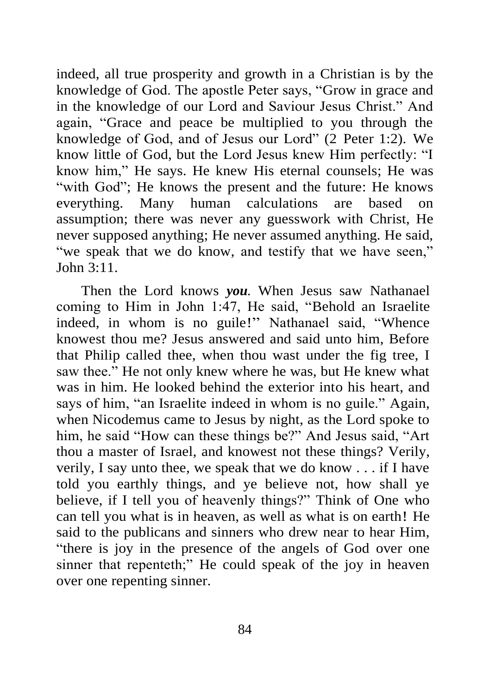indeed, all true prosperity and growth in a Christian is by the knowledge of God. The apostle Peter says, "Grow in grace and in the knowledge of our Lord and Saviour Jesus Christ." And again, "Grace and peace be multiplied to you through the knowledge of God, and of Jesus our Lord" (2 Peter 1:2). We know little of God, but the Lord Jesus knew Him perfectly: "I know him," He says. He knew His eternal counsels; He was "with God"; He knows the present and the future: He knows everything. Many human calculations are based on assumption; there was never any guesswork with Christ, He never supposed anything; He never assumed anything. He said, "we speak that we do know, and testify that we have seen," John 3:11.

Then the Lord knows *you.* When Jesus saw Nathanael coming to Him in John 1:47, He said, "Behold an Israelite indeed, in whom is no guile!" Nathanael said, "Whence knowest thou me? Jesus answered and said unto him, Before that Philip called thee, when thou wast under the fig tree, I saw thee." He not only knew where he was, but He knew what was in him. He looked behind the exterior into his heart, and says of him, "an Israelite indeed in whom is no guile." Again, when Nicodemus came to Jesus by night, as the Lord spoke to him, he said "How can these things be?" And Jesus said, "Art thou a master of Israel, and knowest not these things? Verily, verily, I say unto thee, we speak that we do know . . . if I have told you earthly things, and ye believe not, how shall ye believe, if I tell you of heavenly things?" Think of One who can tell you what is in heaven, as well as what is on earth! He said to the publicans and sinners who drew near to hear Him, "there is joy in the presence of the angels of God over one sinner that repenteth;" He could speak of the joy in heaven over one repenting sinner.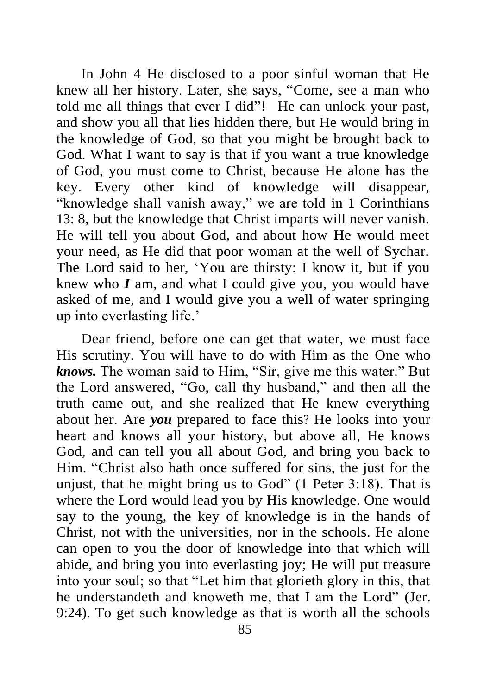In John 4 He disclosed to a poor sinful woman that He knew all her history. Later, she says, "Come, see a man who told me all things that ever I did"! He can unlock your past, and show you all that lies hidden there, but He would bring in the knowledge of God, so that you might be brought back to God. What I want to say is that if you want a true knowledge of God, you must come to Christ, because He alone has the key. Every other kind of knowledge will disappear, "knowledge shall vanish away," we are told in 1 Corinthians 13: 8, but the knowledge that Christ imparts will never vanish. He will tell you about God, and about how He would meet your need, as He did that poor woman at the well of Sychar. The Lord said to her, 'You are thirsty: I know it, but if you knew who *I* am, and what I could give you, you would have asked of me, and I would give you a well of water springing up into everlasting life.'

Dear friend, before one can get that water, we must face His scrutiny. You will have to do with Him as the One who *knows.* The woman said to Him, "Sir, give me this water." But the Lord answered, "Go, call thy husband," and then all the truth came out, and she realized that He knew everything about her. Are *you* prepared to face this? He looks into your heart and knows all your history, but above all, He knows God, and can tell you all about God, and bring you back to Him. "Christ also hath once suffered for sins, the just for the unjust, that he might bring us to God" (1 Peter 3:18). That is where the Lord would lead you by His knowledge. One would say to the young, the key of knowledge is in the hands of Christ, not with the universities, nor in the schools. He alone can open to you the door of knowledge into that which will abide, and bring you into everlasting joy; He will put treasure into your soul; so that "Let him that glorieth glory in this, that he understandeth and knoweth me, that I am the Lord" (Jer. 9:24). To get such knowledge as that is worth all the schools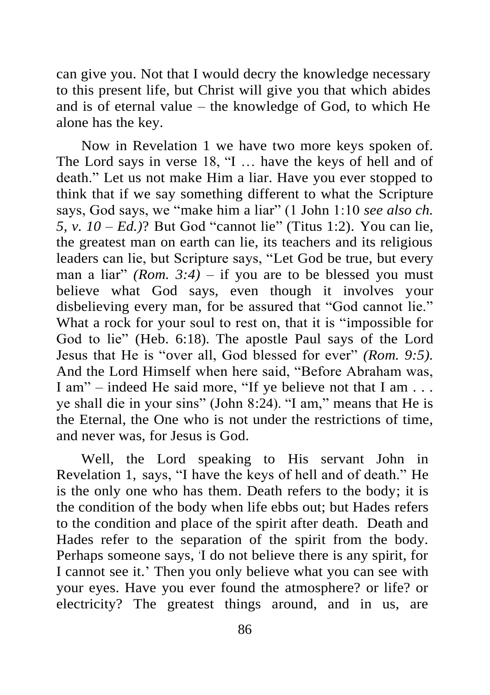can give you. Not that I would decry the knowledge necessary to this present life, but Christ will give you that which abides and is of eternal value – the knowledge of God, to which He alone has the key.

Now in Revelation 1 we have two more keys spoken of. The Lord says in verse 18, "I … have the keys of hell and of death." Let us not make Him a liar. Have you ever stopped to think that if we say something different to what the Scripture says, God says, we "make him a liar" (1 John 1:10 *see also ch. 5, v. 10 – Ed.)*? But God "cannot lie" (Titus 1:2). You can lie, the greatest man on earth can lie, its teachers and its religious leaders can lie, but Scripture says, "Let God be true, but every man a liar" *(Rom.* 3:4) – if you are to be blessed you must believe what God says, even though it involves your disbelieving every man, for be assured that "God cannot lie." What a rock for your soul to rest on, that it is "impossible for God to lie" (Heb. 6:18). The apostle Paul says of the Lord Jesus that He is "over all, God blessed for ever" *(Rom. 9:5).* And the Lord Himself when here said, "Before Abraham was, I am" – indeed He said more, "If ye believe not that I am . . . ye shall die in your sins" (John 8:24). "I am," means that He is the Eternal, the One who is not under the restrictions of time, and never was, for Jesus is God.

Well, the Lord speaking to His servant John in Revelation 1, says, "I have the keys of hell and of death." He is the only one who has them. Death refers to the body; it is the condition of the body when life ebbs out; but Hades refers to the condition and place of the spirit after death. Death and Hades refer to the separation of the spirit from the body. Perhaps someone says, 'I do not believe there is any spirit, for I cannot see it.' Then you only believe what you can see with your eyes. Have you ever found the atmosphere? or life? or electricity? The greatest things around, and in us, are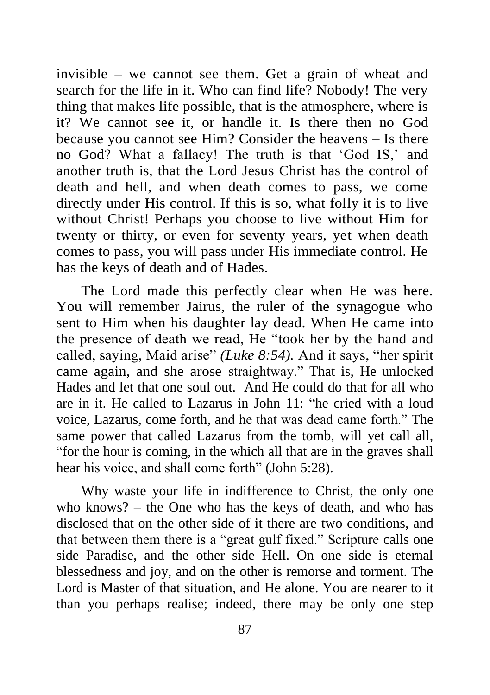invisible – we cannot see them. Get a grain of wheat and search for the life in it. Who can find life? Nobody! The very thing that makes life possible, that is the atmosphere, where is it? We cannot see it, or handle it. Is there then no God because you cannot see Him? Consider the heavens – Is there no God? What a fallacy! The truth is that 'God IS,' and another truth is, that the Lord Jesus Christ has the control of death and hell, and when death comes to pass, we come directly under His control. If this is so, what folly it is to live without Christ! Perhaps you choose to live without Him for twenty or thirty, or even for seventy years, yet when death comes to pass, you will pass under His immediate control. He has the keys of death and of Hades.

The Lord made this perfectly clear when He was here. You will remember Jairus, the ruler of the synagogue who sent to Him when his daughter lay dead. When He came into the presence of death we read, He "took her by the hand and called, saying, Maid arise" *(Luke 8:54).* And it says, "her spirit came again, and she arose straightway." That is, He unlocked Hades and let that one soul out. And He could do that for all who are in it. He called to Lazarus in John 11: "he cried with a loud voice, Lazarus, come forth, and he that was dead came forth." The same power that called Lazarus from the tomb, will yet call all, "for the hour is coming, in the which all that are in the graves shall hear his voice, and shall come forth" (John 5:28).

Why waste your life in indifference to Christ, the only one who knows? – the One who has the keys of death, and who has disclosed that on the other side of it there are two conditions, and that between them there is a "great gulf fixed." Scripture calls one side Paradise, and the other side Hell. On one side is eternal blessedness and joy, and on the other is remorse and torment. The Lord is Master of that situation, and He alone. You are nearer to it than you perhaps realise; indeed, there may be only one step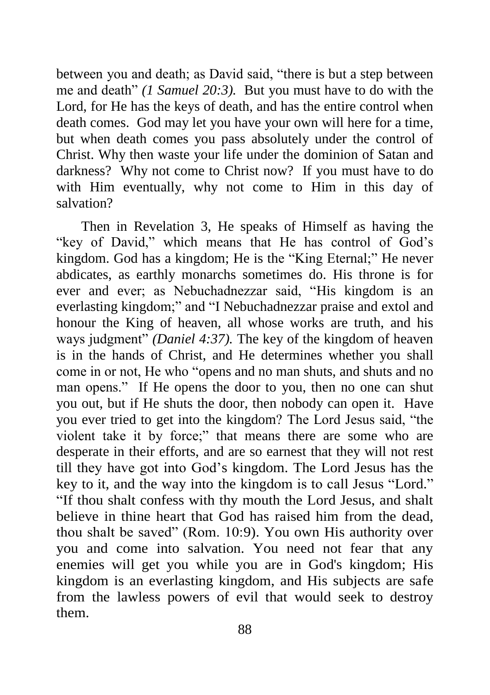between you and death; as David said, "there is but a step between me and death" *(1 Samuel 20:3).* But you must have to do with the Lord, for He has the keys of death, and has the entire control when death comes. God may let you have your own will here for a time, but when death comes you pass absolutely under the control of Christ. Why then waste your life under the dominion of Satan and darkness? Why not come to Christ now? If you must have to do with Him eventually, why not come to Him in this day of salvation?

Then in Revelation 3, He speaks of Himself as having the "key of David," which means that He has control of God's kingdom. God has a kingdom; He is the "King Eternal;" He never abdicates, as earthly monarchs sometimes do. His throne is for ever and ever; as Nebuchadnezzar said, "His kingdom is an everlasting kingdom;" and "I Nebuchadnezzar praise and extol and honour the King of heaven, all whose works are truth, and his ways judgment" *(Daniel 4:37).* The key of the kingdom of heaven is in the hands of Christ, and He determines whether you shall come in or not, He who "opens and no man shuts, and shuts and no man opens." If He opens the door to you, then no one can shut you out, but if He shuts the door, then nobody can open it. Have you ever tried to get into the kingdom? The Lord Jesus said, "the violent take it by force;" that means there are some who are desperate in their efforts, and are so earnest that they will not rest till they have got into God's kingdom. The Lord Jesus has the key to it, and the way into the kingdom is to call Jesus "Lord." "If thou shalt confess with thy mouth the Lord Jesus, and shalt believe in thine heart that God has raised him from the dead, thou shalt be saved" (Rom. 10:9). You own His authority over you and come into salvation. You need not fear that any enemies will get you while you are in God's kingdom; His kingdom is an everlasting kingdom, and His subjects are safe from the lawless powers of evil that would seek to destroy them.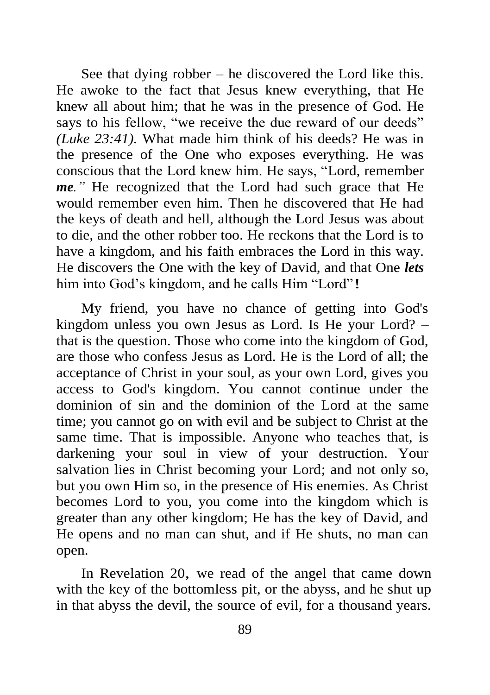See that dying robber – he discovered the Lord like this. He awoke to the fact that Jesus knew everything, that He knew all about him; that he was in the presence of God. He says to his fellow, "we receive the due reward of our deeds" *(Luke 23:41).* What made him think of his deeds? He was in the presence of the One who exposes everything. He was conscious that the Lord knew him. He says, "Lord, remember *me."* He recognized that the Lord had such grace that He would remember even him. Then he discovered that He had the keys of death and hell, although the Lord Jesus was about to die, and the other robber too. He reckons that the Lord is to have a kingdom, and his faith embraces the Lord in this way. He discovers the One with the key of David, and that One *lets* him into God's kingdom, and he calls Him "Lord"!

My friend, you have no chance of getting into God's kingdom unless you own Jesus as Lord. Is He your Lord? – that is the question. Those who come into the kingdom of God, are those who confess Jesus as Lord. He is the Lord of all; the acceptance of Christ in your soul*,* as your own Lord, gives you access to God's kingdom. You cannot continue under the dominion of sin and the dominion of the Lord at the same time; you cannot go on with evil and be subject to Christ at the same time. That is impossible. Anyone who teaches that, is darkening your soul in view of your destruction. Your salvation lies in Christ becoming your Lord; and not only so, but you own Him so, in the presence of His enemies. As Christ becomes Lord to you, you come into the kingdom which is greater than any other kingdom; He has the key of David, and He opens and no man can shut, and if He shuts, no man can open.

In Revelation 20, we read of the angel that came down with the key of the bottomless pit, or the abyss, and he shut up in that abyss the devil, the source of evil, for a thousand years.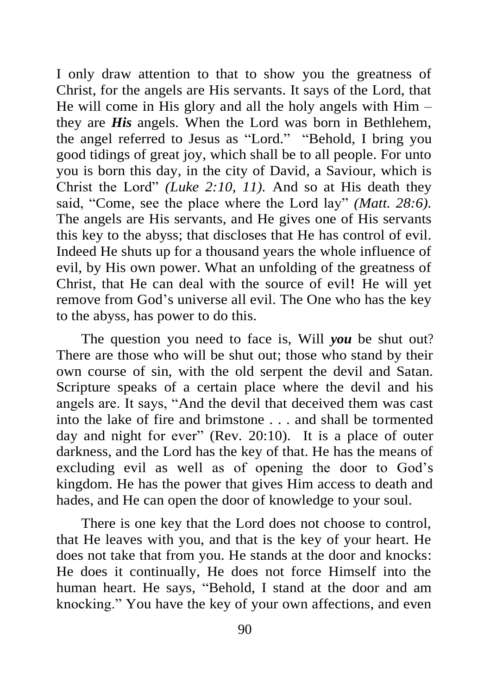I only draw attention to that to show you the greatness of Christ, for the angels are His servants. It says of the Lord, that He will come in His glory and all the holy angels with Him – they are *His* angels. When the Lord was born in Bethlehem, the angel referred to Jesus as "Lord." "Behold, I bring you good tidings of great joy, which shall be to all people. For unto you is born this day, in the city of David, a Saviour, which is Christ the Lord" *(Luke 2:10, 11).* And so at His death they said, "Come, see the place where the Lord lay" *(Matt. 28:6).* The angels are His servants, and He gives one of His servants this key to the abyss; that discloses that He has control of evil. Indeed He shuts up for a thousand years the whole influence of evil, by His own power. What an unfolding of the greatness of Christ, that He can deal with the source of evil! He will yet remove from God's universe all evil. The One who has the key to the abyss, has power to do this.

The question you need to face is, Will *you* be shut out? There are those who will be shut out; those who stand by their own course of sin, with the old serpent the devil and Satan. Scripture speaks of a certain place where the devil and his angels are. It says, "And the devil that deceived them was cast into the lake of fire and brimstone . . . and shall be tormented day and night for ever" (Rev. 20:10). It is a place of outer darkness, and the Lord has the key of that. He has the means of excluding evil as well as of opening the door to God's kingdom. He has the power that gives Him access to death and hades, and He can open the door of knowledge to your soul.

There is one key that the Lord does not choose to control, that He leaves with you, and that is the key of your heart. He does not take that from you. He stands at the door and knocks: He does it continually, He does not force Himself into the human heart. He says, "Behold, I stand at the door and am knocking." You have the key of your own affections, and even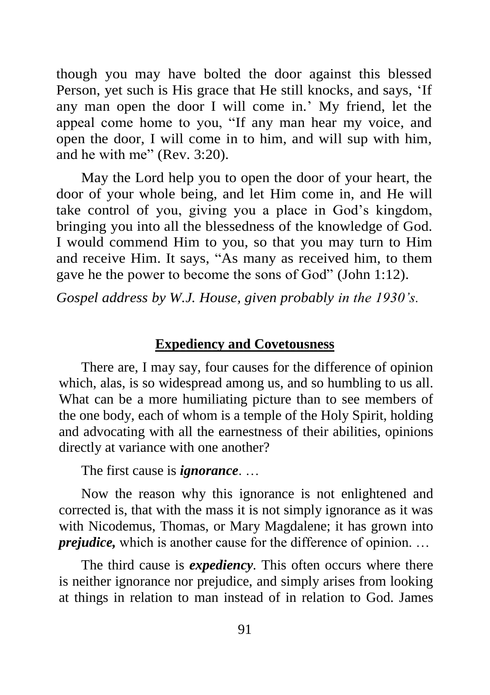though you may have bolted the door against this blessed Person, yet such is His grace that He still knocks, and says, 'If any man open the door I will come in.' My friend, let the appeal come home to you, "If any man hear my voice, and open the door, I will come in to him, and will sup with him, and he with me" (Rev. 3:20).

May the Lord help you to open the door of your heart, the door of your whole being, and let Him come in, and He will take control of you, giving you a place in God's kingdom, bringing you into all the blessedness of the knowledge of God. I would commend Him to you, so that you may turn to Him and receive Him. It says, "As many as received him, to them gave he the power to become the sons of God" (John 1:12).

*Gospel address by W.J. House, given probably in the 1930's.* 

#### **Expediency and Covetousness**

There are, I may say, four causes for the difference of opinion which, alas, is so widespread among us, and so humbling to us all. What can be a more humiliating picture than to see members of the one body, each of whom is a temple of the Holy Spirit, holding and advocating with all the earnestness of their abilities, opinions directly at variance with one another?

The first cause is *ignorance*. …

Now the reason why this ignorance is not enlightened and corrected is, that with the mass it is not simply ignorance as it was with Nicodemus, Thomas, or Mary Magdalene; it has grown into *prejudice*, which is another cause for the difference of opinion. ...

The third cause is *expediency.* This often occurs where there is neither ignorance nor prejudice, and simply arises from looking at things in relation to man instead of in relation to God. James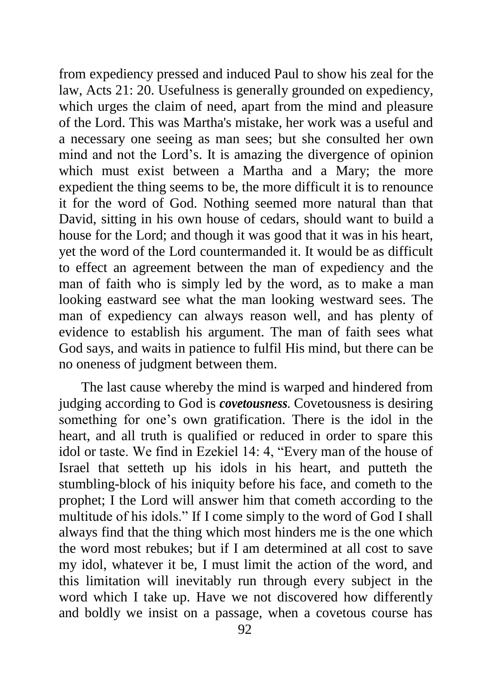from expediency pressed and induced Paul to show his zeal for the law, Acts 21: 20. Usefulness is generally grounded on expediency, which urges the claim of need, apart from the mind and pleasure of the Lord. This was Martha's mistake, her work was a useful and a necessary one seeing as man sees; but she consulted her own mind and not the Lord's. It is amazing the divergence of opinion which must exist between a Martha and a Mary; the more expedient the thing seems to be, the more difficult it is to renounce it for the word of God. Nothing seemed more natural than that David, sitting in his own house of cedars, should want to build a house for the Lord; and though it was good that it was in his heart, yet the word of the Lord countermanded it. It would be as difficult to effect an agreement between the man of expediency and the man of faith who is simply led by the word, as to make a man looking eastward see what the man looking westward sees. The man of expediency can always reason well, and has plenty of evidence to establish his argument. The man of faith sees what God says, and waits in patience to fulfil His mind, but there can be no oneness of judgment between them.

The last cause whereby the mind is warped and hindered from judging according to God is *covetousness.* Covetousness is desiring something for one's own gratification. There is the idol in the heart, and all truth is qualified or reduced in order to spare this idol or taste. We find in Ezekiel 14: 4, "Every man of the house of Israel that setteth up his idols in his heart, and putteth the stumbling-block of his iniquity before his face, and cometh to the prophet; I the Lord will answer him that cometh according to the multitude of his idols." If I come simply to the word of God I shall always find that the thing which most hinders me is the one which the word most rebukes; but if I am determined at all cost to save my idol, whatever it be, I must limit the action of the word, and this limitation will inevitably run through every subject in the word which I take up. Have we not discovered how differently and boldly we insist on a passage, when a covetous course has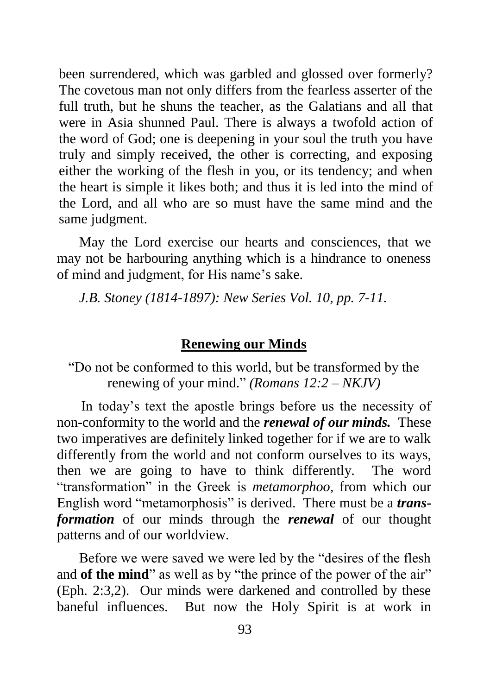been surrendered, which was garbled and glossed over formerly? The covetous man not only differs from the fearless asserter of the full truth, but he shuns the teacher, as the Galatians and all that were in Asia shunned Paul. There is always a twofold action of the word of God; one is deepening in your soul the truth you have truly and simply received, the other is correcting, and exposing either the working of the flesh in you, or its tendency; and when the heart is simple it likes both; and thus it is led into the mind of the Lord, and all who are so must have the same mind and the same judgment.

May the Lord exercise our hearts and consciences, that we may not be harbouring anything which is a hindrance to oneness of mind and judgment, for His name's sake.

*J.B. Stoney (1814-1897): New Series Vol. 10, pp. 7-11.*

### **Renewing our Minds**

"Do not be conformed to this world, but be transformed by the renewing of your mind." *(Romans 12:2 – NKJV)*

In today's text the apostle brings before us the necessity of non-conformity to the world and the *renewal of our minds.* These two imperatives are definitely linked together for if we are to walk differently from the world and not conform ourselves to its ways, then we are going to have to think differently. The word "transformation" in the Greek is *metamorphoo,* from which our English word "metamorphosis" is derived. There must be a *transformation* of our minds through the *renewal* of our thought patterns and of our worldview.

Before we were saved we were led by the "desires of the flesh and **of the mind**" as well as by "the prince of the power of the air" (Eph. 2:3,2). Our minds were darkened and controlled by these baneful influences. But now the Holy Spirit is at work in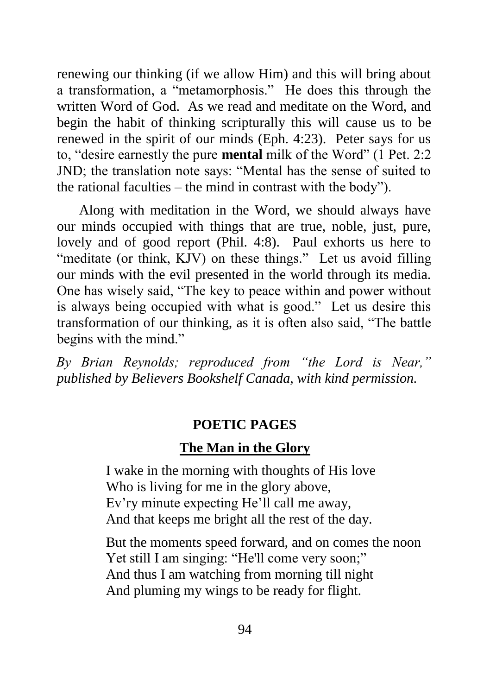renewing our thinking (if we allow Him) and this will bring about a transformation, a "metamorphosis." He does this through the written Word of God. As we read and meditate on the Word, and begin the habit of thinking scripturally this will cause us to be renewed in the spirit of our minds (Eph. 4:23). Peter says for us to, "desire earnestly the pure **mental** milk of the Word" (1 Pet. 2:2 JND; the translation note says: "Mental has the sense of suited to the rational faculties – the mind in contrast with the body").

Along with meditation in the Word, we should always have our minds occupied with things that are true, noble, just, pure, lovely and of good report (Phil. 4:8). Paul exhorts us here to "meditate (or think, KJV) on these things." Let us avoid filling our minds with the evil presented in the world through its media. One has wisely said, "The key to peace within and power without is always being occupied with what is good." Let us desire this transformation of our thinking, as it is often also said, "The battle begins with the mind."

*By Brian Reynolds; reproduced from "the Lord is Near," published by Believers Bookshelf Canada, with kind permission.*

#### **POETIC PAGES**

#### **The Man in the Glory**

I wake in the morning with thoughts of His love Who is living for me in the glory above, Ev'ry minute expecting He'll call me away, And that keeps me bright all the rest of the day.

But the moments speed forward, and on comes the noon Yet still I am singing: "He'll come very soon;" And thus I am watching from morning till night And pluming my wings to be ready for flight.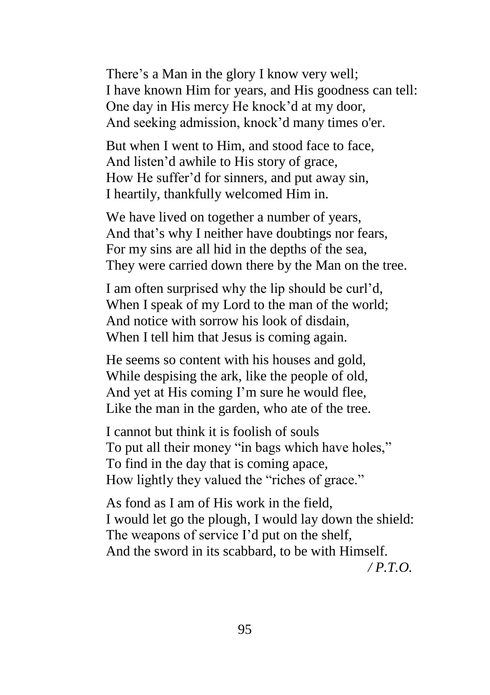There's a Man in the glory I know very well; I have known Him for years, and His goodness can tell: One day in His mercy He knock'd at my door, And seeking admission, knock'd many times o'er.

But when I went to Him, and stood face to face, And listen'd awhile to His story of grace, How He suffer'd for sinners, and put away sin, I heartily, thankfully welcomed Him in.

We have lived on together a number of years. And that's why I neither have doubtings nor fears, For my sins are all hid in the depths of the sea, They were carried down there by the Man on the tree.

I am often surprised why the lip should be curl'd, When I speak of my Lord to the man of the world; And notice with sorrow his look of disdain, When I tell him that Jesus is coming again.

He seems so content with his houses and gold, While despising the ark, like the people of old, And yet at His coming I'm sure he would flee, Like the man in the garden, who ate of the tree.

I cannot but think it is foolish of souls To put all their money "in bags which have holes," To find in the day that is coming apace, How lightly they valued the "riches of grace."

As fond as I am of His work in the field, I would let go the plough, I would lay down the shield: The weapons of service I'd put on the shelf, And the sword in its scabbard, to be with Himself. */ P.T.O.*